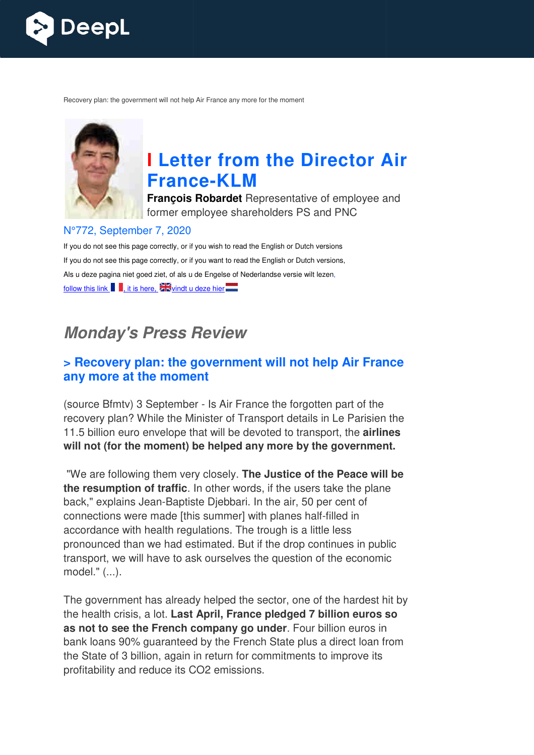

Recovery plan: the government will not help Air France any more for the moment



# **I Letter from the Director Air France France-KLM**

**François Robardet** Representative of employee and former employee shareholders PS and PNC

#### N°772, September 7, 2020

If you do not see this page correctly, or if you wish to read the English or Dutch versions If you do not see this page correctly, or if you want to read the English or Dutch versions, Als u deze pagina niet goed ziet, of als u de Engelse of Nederlandse versie wilt lezen, follow this link  $\frac{1}{2}$ , it is here,  $\frac{1}{2}$  windt u deze hier

## *Monday's Press Review*

#### **> Recovery plan: the government will not help Air France any more at the moment**

(source Bfmtv) 3 September - Is Air France the forgotten part of the recovery plan? While the Minister of Transport details in Le Parisien the 11.5 billion euro envelope that will be devoted to transport, the **airlines will not (for the moment) be helped any more by the government.**

"We are following them very closely. **The Justice of the Peace will be the resumption of traffic**. In other words, if the users take the plane back," explains Jean-Baptiste Djebbari. In the air, 50 per cent of<br>connections were made [this summer] with planes half-filled in connections were made [this summer] with planes half accordance with health regulations. The trough is a little less pronounced than we had estimated. But if the drop continues in public transport, we will have to ask ourselves the question of the economic model." (...).

The government has already helped the sector, one of the hardest hit by the health crisis, a lot. **Last April, France pledged 7 billion euros so as not to see the French c company go under**. Four billion euros in bank loans 90% guaranteed by the French State plus a direct loan from the State of 3 billion, again in return for commitments to improve its profitability and reduce its CO2 emissions.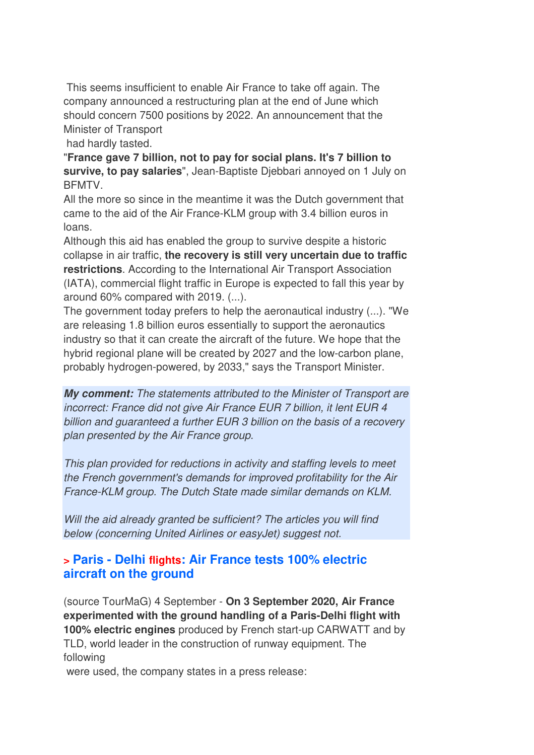This seems insufficient to enable Air France to take off again. The company announced a restructuring plan at the end of June which should concern 7500 positions by 2022. An announcement that the Minister of Transport

had hardly tasted.

"**France gave 7 billion, not to pay for social plans. It's 7 billion to survive, to pay salaries**", Jean-Baptiste Djebbari annoyed on 1 July on BFMTV.

All the more so since in the meantime it was the Dutch government that came to the aid of the Air France-KLM group with 3.4 billion euros in loans.

Although this aid has enabled the group to survive despite a historic collapse in air traffic, **the recovery is still very uncertain due to traffic restrictions**. According to the International Air Transport Association (IATA), commercial flight traffic in Europe is expected to fall this year by around 60% compared with 2019. (...).

The government today prefers to help the aeronautical industry (...). "We are releasing 1.8 billion euros essentially to support the aeronautics industry so that it can create the aircraft of the future. We hope that the hybrid regional plane will be created by 2027 and the low-carbon plane, probably hydrogen-powered, by 2033," says the Transport Minister.

*My comment: The statements attributed to the Minister of Transport are incorrect: France did not give Air France EUR 7 billion, it lent EUR 4 billion and guaranteed a further EUR 3 billion on the basis of a recovery plan presented by the Air France group.* 

*This plan provided for reductions in activity and staffing levels to meet the French government's demands for improved profitability for the Air France-KLM group. The Dutch State made similar demands on KLM.* 

*Will the aid already granted be sufficient? The articles you will find below (concerning United Airlines or easyJet) suggest not.*

#### **> Paris - Delhi flights: Air France tests 100% electric aircraft on the ground**

(source TourMaG) 4 September - **On 3 September 2020, Air France experimented with the ground handling of a Paris-Delhi flight with 100% electric engines** produced by French start-up CARWATT and by TLD, world leader in the construction of runway equipment. The following

were used, the company states in a press release: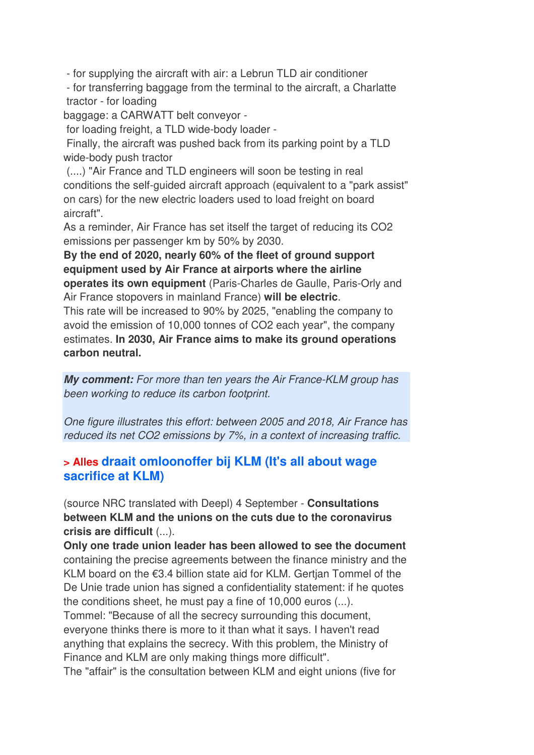- for supplying the aircraft with air: a Lebrun TLD air conditioner

 - for transferring baggage from the terminal to the aircraft, a Charlatte tractor - for loading

baggage: a CARWATT belt conveyor -

for loading freight, a TLD wide-body loader -

 Finally, the aircraft was pushed back from its parking point by a TLD wide-body push tractor

 (....) "Air France and TLD engineers will soon be testing in real conditions the self-guided aircraft approach (equivalent to a "park assist" on cars) for the new electric loaders used to load freight on board aircraft".

As a reminder, Air France has set itself the target of reducing its CO2 emissions per passenger km by 50% by 2030.

**By the end of 2020, nearly 60% of the fleet of ground support equipment used by Air France at airports where the airline operates its own equipment** (Paris-Charles de Gaulle, Paris-Orly and Air France stopovers in mainland France) **will be electric**.

This rate will be increased to 90% by 2025, "enabling the company to avoid the emission of 10,000 tonnes of CO2 each year", the company estimates. **In 2030, Air France aims to make its ground operations carbon neutral.**

*My comment: For more than ten years the Air France-KLM group has been working to reduce its carbon footprint.* 

*One figure illustrates this effort: between 2005 and 2018, Air France has reduced its net CO2 emissions by 7%, in a context of increasing traffic.*

#### **> Alles draait omloonoffer bij KLM (It's all about wage sacrifice at KLM)**

(source NRC translated with Deepl) 4 September - **Consultations between KLM and the unions on the cuts due to the coronavirus crisis are difficult** (...).

**Only one trade union leader has been allowed to see the document** containing the precise agreements between the finance ministry and the KLM board on the €3.4 billion state aid for KLM. Gertjan Tommel of the De Unie trade union has signed a confidentiality statement: if he quotes the conditions sheet, he must pay a fine of 10,000 euros (...). Tommel: "Because of all the secrecy surrounding this document, everyone thinks there is more to it than what it says. I haven't read anything that explains the secrecy. With this problem, the Ministry of Finance and KLM are only making things more difficult". The "affair" is the consultation between KLM and eight unions (five for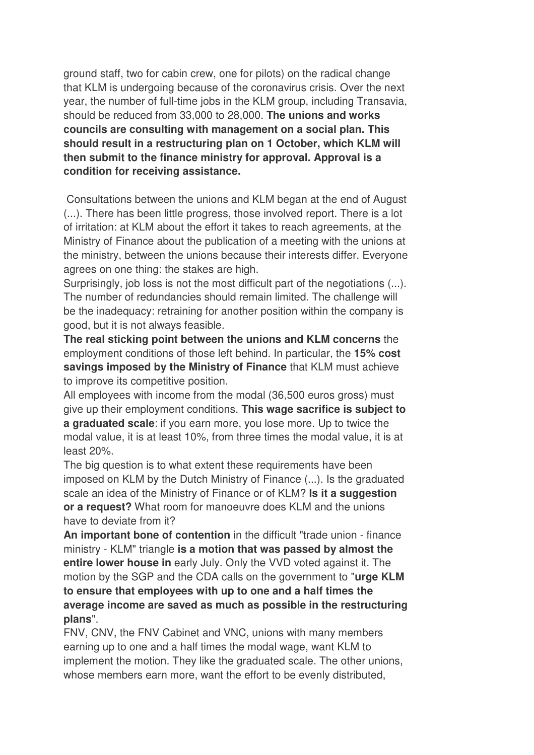ground staff, two for cabin crew, one for pilots) on the radical change that KLM is undergoing because of the coronavirus crisis. Over the next year, the number of full-time jobs in the KLM group, including Transavia, should be reduced from 33,000 to 28,000. **The unions and works councils are consulting with management on a social plan. This should result in a restructuring plan on 1 October, which KLM will then submit to the finance ministry for approval. Approval is a condition for receiving assistance.** 

 Consultations between the unions and KLM began at the end of August (...). There has been little progress, those involved report. There is a lot of irritation: at KLM about the effort it takes to reach agreements, at the Ministry of Finance about the publication of a meeting with the unions at the ministry, between the unions because their interests differ. Everyone agrees on one thing: the stakes are high.

Surprisingly, job loss is not the most difficult part of the negotiations (...). The number of redundancies should remain limited. The challenge will be the inadequacy: retraining for another position within the company is good, but it is not always feasible.

**The real sticking point between the unions and KLM concerns** the employment conditions of those left behind. In particular, the **15% cost savings imposed by the Ministry of Finance** that KLM must achieve to improve its competitive position.

All employees with income from the modal (36,500 euros gross) must give up their employment conditions. **This wage sacrifice is subject to a graduated scale**: if you earn more, you lose more. Up to twice the modal value, it is at least 10%, from three times the modal value, it is at least 20%.

The big question is to what extent these requirements have been imposed on KLM by the Dutch Ministry of Finance (...). Is the graduated scale an idea of the Ministry of Finance or of KLM? **Is it a suggestion or a request?** What room for manoeuvre does KLM and the unions have to deviate from it?

**An important bone of contention** in the difficult "trade union - finance ministry - KLM" triangle **is a motion that was passed by almost the entire lower house in** early July. Only the VVD voted against it. The motion by the SGP and the CDA calls on the government to "**urge KLM to ensure that employees with up to one and a half times the average income are saved as much as possible in the restructuring plans**".

FNV, CNV, the FNV Cabinet and VNC, unions with many members earning up to one and a half times the modal wage, want KLM to implement the motion. They like the graduated scale. The other unions, whose members earn more, want the effort to be evenly distributed,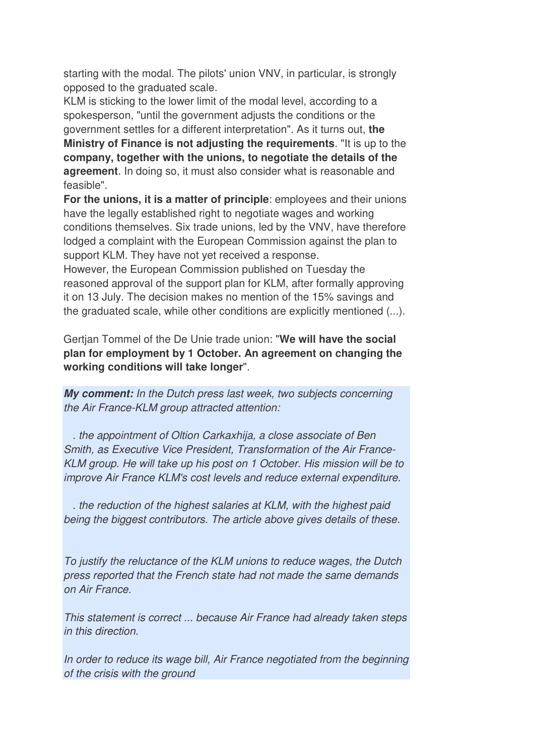starting with the modal. The pilots' union VNV, in particular, is strongly opposed to the graduated scale.

KLM is sticking to the lower limit of the modal level, according to a spokesperson, "until the government adjusts the conditions or the government settles for a different interpretation". As it turns out, **the Ministry of Finance is not adjusting the requirements**. "It is up to the **company, together with the unions, to negotiate the details of the agreement**. In doing so, it must also consider what is reasonable and feasible".

**For the unions, it is a matter of principle**: employees and their unions have the legally established right to negotiate wages and working conditions themselves. Six trade unions, led by the VNV, have therefore lodged a complaint with the European Commission against the plan to support KLM. They have not yet received a response.

However, the European Commission published on Tuesday the reasoned approval of the support plan for KLM, after formally approving it on 13 July. The decision makes no mention of the 15% savings and the graduated scale, while other conditions are explicitly mentioned (...).

Gertjan Tommel of the De Unie trade union: "**We will have the social plan for employment by 1 October. An agreement on changing the working conditions will take longer**".

*My comment: In the Dutch press last week, two subjects concerning the Air France-KLM group attracted attention:* 

 *. the appointment of Oltion Carkaxhija, a close associate of Ben Smith, as Executive Vice President, Transformation of the Air France-KLM group. He will take up his post on 1 October. His mission will be to improve Air France KLM's cost levels and reduce external expenditure.* 

 *. the reduction of the highest salaries at KLM, with the highest paid being the biggest contributors. The article above gives details of these.* 

*To justify the reluctance of the KLM unions to reduce wages, the Dutch press reported that the French state had not made the same demands on Air France.* 

*This statement is correct ... because Air France had already taken steps in this direction.* 

*In order to reduce its wage bill, Air France negotiated from the beginning of the crisis with the ground*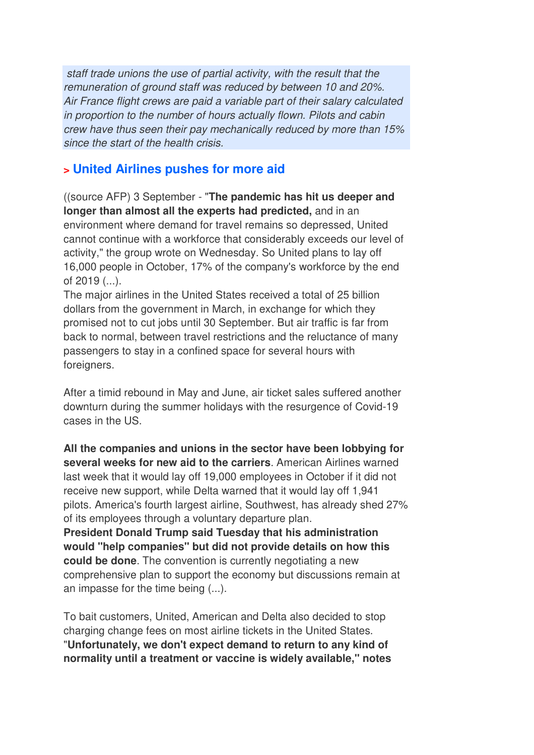*staff trade unions the use of partial activity, with the result that the remuneration of ground staff was reduced by between 10 and 20%. Air France flight crews are paid a variable part of their salary calculated in proportion to the number of hours actually flown. Pilots and cabin crew have thus seen their pay mechanically reduced by more than 15% since the start of the health crisis.* 

#### **> United Airlines pushes for more aid**

((source AFP) 3 September - "**The pandemic has hit us deeper and longer than almost all the experts had predicted,** and in an environment where demand for travel remains so depressed, United cannot continue with a workforce that considerably exceeds our level of activity," the group wrote on Wednesday. So United plans to lay off 16,000 people in October, 17% of the company's workforce by the end of 2019 (...).

The major airlines in the United States received a total of 25 billion dollars from the government in March, in exchange for which they promised not to cut jobs until 30 September. But air traffic is far from back to normal, between travel restrictions and the reluctance of many passengers to stay in a confined space for several hours with foreigners.

After a timid rebound in May and June, air ticket sales suffered another downturn during the summer holidays with the resurgence of Covid-19 cases in the US.

**All the companies and unions in the sector have been lobbying for several weeks for new aid to the carriers**. American Airlines warned last week that it would lay off 19,000 employees in October if it did not receive new support, while Delta warned that it would lay off 1,941 pilots. America's fourth largest airline, Southwest, has already shed 27% of its employees through a voluntary departure plan.

**President Donald Trump said Tuesday that his administration would "help companies" but did not provide details on how this could be done**. The convention is currently negotiating a new comprehensive plan to support the economy but discussions remain at an impasse for the time being (...).

To bait customers, United, American and Delta also decided to stop charging change fees on most airline tickets in the United States. "**Unfortunately, we don't expect demand to return to any kind of normality until a treatment or vaccine is widely available," notes**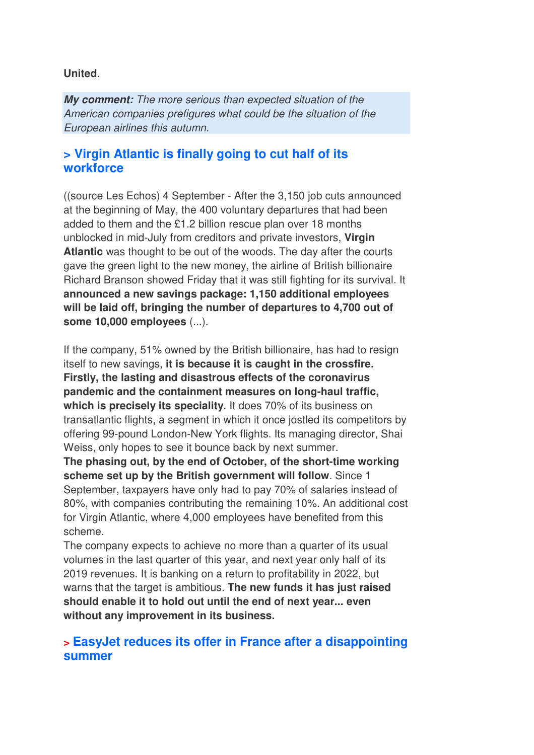#### **United**.

*My comment: The more serious than expected situation of the American companies prefigures what could be the situation of the European airlines this autumn.*

#### **> Virgin Atlantic is finally going to cut half of its workforce**

((source Les Echos) 4 September - After the 3,150 job cuts announced at the beginning of May, the 400 voluntary departures that had been added to them and the £1.2 billion rescue plan over 18 months unblocked in mid-July from creditors and private investors, **Virgin Atlantic** was thought to be out of the woods. The day after the courts gave the green light to the new money, the airline of British billionaire Richard Branson showed Friday that it was still fighting for its survival. It **announced a new savings package: 1,150 additional employees will be laid off, bringing the number of departures to 4,700 out of some 10,000 employees** (...).

If the company, 51% owned by the British billionaire, has had to resign itself to new savings, **it is because it is caught in the crossfire. Firstly, the lasting and disastrous effects of the coronavirus pandemic and the containment measures on long-haul traffic, which is precisely its speciality**. It does 70% of its business on transatlantic flights, a segment in which it once jostled its competitors by offering 99-pound London-New York flights. Its managing director, Shai Weiss, only hopes to see it bounce back by next summer.

**The phasing out, by the end of October, of the short-time working scheme set up by the British government will follow**. Since 1 September, taxpayers have only had to pay 70% of salaries instead of 80%, with companies contributing the remaining 10%. An additional cost for Virgin Atlantic, where 4,000 employees have benefited from this scheme.

The company expects to achieve no more than a quarter of its usual volumes in the last quarter of this year, and next year only half of its 2019 revenues. It is banking on a return to profitability in 2022, but warns that the target is ambitious. **The new funds it has just raised should enable it to hold out until the end of next year... even without any improvement in its business.**

#### **> EasyJet reduces its offer in France after a disappointing summer**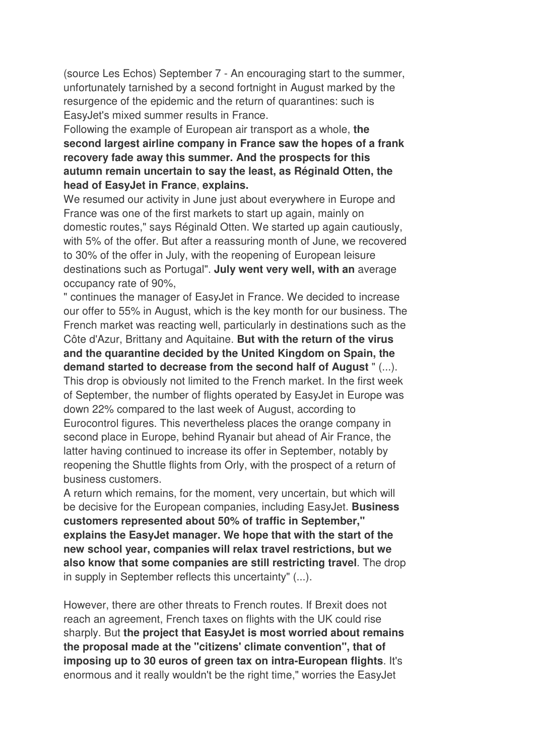(source Les Echos) September 7 - An encouraging start to the summer, unfortunately tarnished by a second fortnight in August marked by the resurgence of the epidemic and the return of quarantines: such is EasyJet's mixed summer results in France.

Following the example of European air transport as a whole, **the second largest airline company in France saw the hopes of a frank recovery fade away this summer. And the prospects for this autumn remain uncertain to say the least, as Réginald Otten, the head of EasyJet in France**, **explains.** 

We resumed our activity in June just about everywhere in Europe and France was one of the first markets to start up again, mainly on domestic routes," says Réginald Otten. We started up again cautiously, with 5% of the offer. But after a reassuring month of June, we recovered to 30% of the offer in July, with the reopening of European leisure destinations such as Portugal". **July went very well, with an** average occupancy rate of 90%,

" continues the manager of EasyJet in France. We decided to increase our offer to 55% in August, which is the key month for our business. The French market was reacting well, particularly in destinations such as the Côte d'Azur, Brittany and Aquitaine. **But with the return of the virus and the quarantine decided by the United Kingdom on Spain, the demand started to decrease from the second half of August** " (...).

This drop is obviously not limited to the French market. In the first week of September, the number of flights operated by EasyJet in Europe was down 22% compared to the last week of August, according to Eurocontrol figures. This nevertheless places the orange company in second place in Europe, behind Ryanair but ahead of Air France, the latter having continued to increase its offer in September, notably by reopening the Shuttle flights from Orly, with the prospect of a return of business customers.

A return which remains, for the moment, very uncertain, but which will be decisive for the European companies, including EasyJet. **Business customers represented about 50% of traffic in September," explains the EasyJet manager. We hope that with the start of the new school year, companies will relax travel restrictions, but we also know that some companies are still restricting travel**. The drop in supply in September reflects this uncertainty" (...).

However, there are other threats to French routes. If Brexit does not reach an agreement, French taxes on flights with the UK could rise sharply. But **the project that EasyJet is most worried about remains the proposal made at the "citizens' climate convention", that of imposing up to 30 euros of green tax on intra-European flights**. It's enormous and it really wouldn't be the right time," worries the EasyJet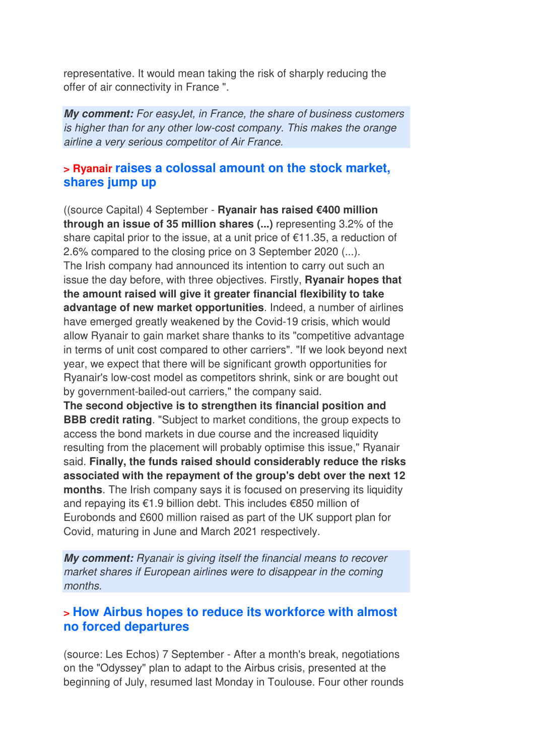representative. It would mean taking the risk of sharply reducing the offer of air connectivity in France ".

*My comment: For easyJet, in France, the share of business customers is higher than for any other low-cost company. This makes the orange airline a very serious competitor of Air France.*

### **> Ryanair raises a colossal amount on the stock market, shares jump up**

((source Capital) 4 September - **Ryanair has raised €400 million through an issue of 35 million shares (...)** representing 3.2% of the share capital prior to the issue, at a unit price of €11.35, a reduction of 2.6% compared to the closing price on 3 September 2020 (...). The Irish company had announced its intention to carry out such an issue the day before, with three objectives. Firstly, **Ryanair hopes that the amount raised will give it greater financial flexibility to take advantage of new market opportunities**. Indeed, a number of airlines have emerged greatly weakened by the Covid-19 crisis, which would allow Ryanair to gain market share thanks to its "competitive advantage in terms of unit cost compared to other carriers". "If we look beyond next year, we expect that there will be significant growth opportunities for Ryanair's low-cost model as competitors shrink, sink or are bought out by government-bailed-out carriers," the company said.

**The second objective is to strengthen its financial position and BBB credit rating**. "Subject to market conditions, the group expects to access the bond markets in due course and the increased liquidity resulting from the placement will probably optimise this issue," Ryanair said. **Finally, the funds raised should considerably reduce the risks associated with the repayment of the group's debt over the next 12 months**. The Irish company says it is focused on preserving its liquidity and repaying its €1.9 billion debt. This includes €850 million of Eurobonds and £600 million raised as part of the UK support plan for Covid, maturing in June and March 2021 respectively.

*My comment: Ryanair is giving itself the financial means to recover market shares if European airlines were to disappear in the coming months.*

#### **> How Airbus hopes to reduce its workforce with almost no forced departures**

(source: Les Echos) 7 September - After a month's break, negotiations on the "Odyssey" plan to adapt to the Airbus crisis, presented at the beginning of July, resumed last Monday in Toulouse. Four other rounds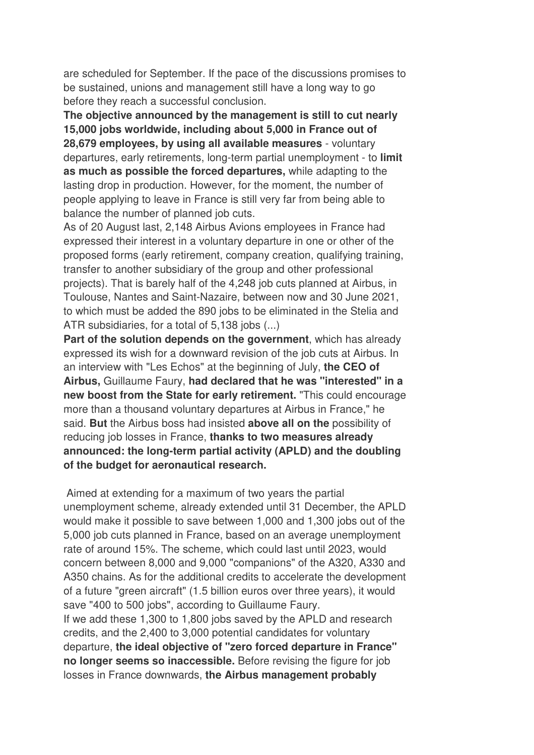are scheduled for September. If the pace of the discussions promises to be sustained, unions and management still have a long way to go before they reach a successful conclusion.

**The objective announced by the management is still to cut nearly 15,000 jobs worldwide, including about 5,000 in France out of 28,679 employees, by using all available measures** - voluntary departures, early retirements, long-term partial unemployment - to **limit as much as possible the forced departures,** while adapting to the lasting drop in production. However, for the moment, the number of people applying to leave in France is still very far from being able to balance the number of planned job cuts.

As of 20 August last, 2,148 Airbus Avions employees in France had expressed their interest in a voluntary departure in one or other of the proposed forms (early retirement, company creation, qualifying training, transfer to another subsidiary of the group and other professional projects). That is barely half of the 4,248 job cuts planned at Airbus, in Toulouse, Nantes and Saint-Nazaire, between now and 30 June 2021, to which must be added the 890 jobs to be eliminated in the Stelia and ATR subsidiaries, for a total of 5,138 jobs (...)

**Part of the solution depends on the government**, which has already expressed its wish for a downward revision of the job cuts at Airbus. In an interview with "Les Echos" at the beginning of July, **the CEO of Airbus,** Guillaume Faury, **had declared that he was "interested" in a new boost from the State for early retirement.** "This could encourage more than a thousand voluntary departures at Airbus in France," he said. **But** the Airbus boss had insisted **above all on the** possibility of reducing job losses in France, **thanks to two measures already announced: the long-term partial activity (APLD) and the doubling of the budget for aeronautical research.** 

 Aimed at extending for a maximum of two years the partial unemployment scheme, already extended until 31 December, the APLD would make it possible to save between 1,000 and 1,300 jobs out of the 5,000 job cuts planned in France, based on an average unemployment rate of around 15%. The scheme, which could last until 2023, would concern between 8,000 and 9,000 "companions" of the A320, A330 and A350 chains. As for the additional credits to accelerate the development of a future "green aircraft" (1.5 billion euros over three years), it would save "400 to 500 jobs", according to Guillaume Faury. If we add these 1,300 to 1,800 jobs saved by the APLD and research credits, and the 2,400 to 3,000 potential candidates for voluntary departure, **the ideal objective of "zero forced departure in France" no longer seems so inaccessible.** Before revising the figure for job losses in France downwards, **the Airbus management probably**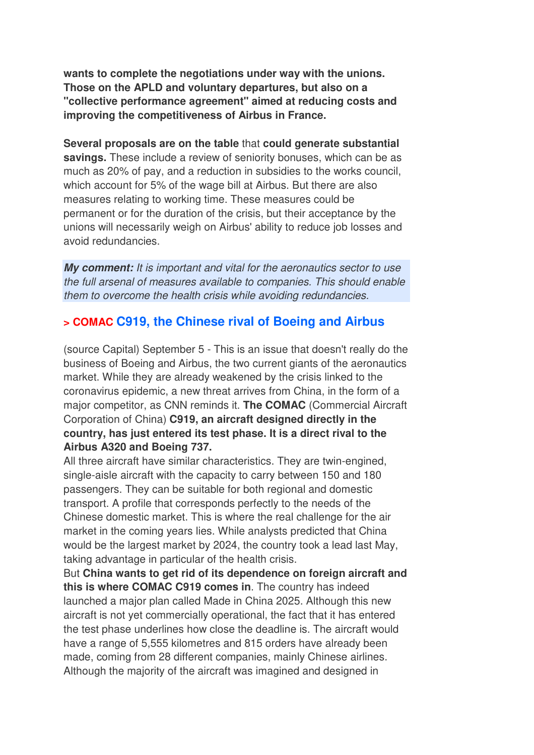**wants to complete the negotiations under way with the unions. Those on the APLD and voluntary departures, but also on a "collective performance agreement" aimed at reducing costs and improving the competitiveness of Airbus in France.** 

**Several proposals are on the table** that **could generate substantial savings.** These include a review of seniority bonuses, which can be as much as 20% of pay, and a reduction in subsidies to the works council, which account for 5% of the wage bill at Airbus. But there are also measures relating to working time. These measures could be permanent or for the duration of the crisis, but their acceptance by the unions will necessarily weigh on Airbus' ability to reduce job losses and avoid redundancies.

*My comment: It is important and vital for the aeronautics sector to use the full arsenal of measures available to companies. This should enable them to overcome the health crisis while avoiding redundancies.*

### **> COMAC C919, the Chinese rival of Boeing and Airbus**

(source Capital) September 5 - This is an issue that doesn't really do the business of Boeing and Airbus, the two current giants of the aeronautics market. While they are already weakened by the crisis linked to the coronavirus epidemic, a new threat arrives from China, in the form of a major competitor, as CNN reminds it. **The COMAC** (Commercial Aircraft Corporation of China) **C919, an aircraft designed directly in the country, has just entered its test phase. It is a direct rival to the Airbus A320 and Boeing 737.** 

All three aircraft have similar characteristics. They are twin-engined, single-aisle aircraft with the capacity to carry between 150 and 180 passengers. They can be suitable for both regional and domestic transport. A profile that corresponds perfectly to the needs of the Chinese domestic market. This is where the real challenge for the air market in the coming years lies. While analysts predicted that China would be the largest market by 2024, the country took a lead last May, taking advantage in particular of the health crisis.

But **China wants to get rid of its dependence on foreign aircraft and this is where COMAC C919 comes in**. The country has indeed launched a major plan called Made in China 2025. Although this new aircraft is not yet commercially operational, the fact that it has entered the test phase underlines how close the deadline is. The aircraft would have a range of 5,555 kilometres and 815 orders have already been made, coming from 28 different companies, mainly Chinese airlines. Although the majority of the aircraft was imagined and designed in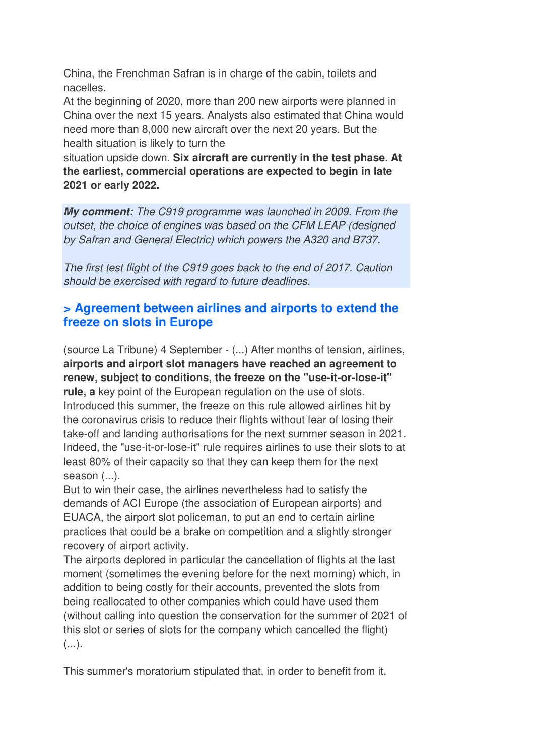China, the Frenchman Safran is in charge of the cabin, toilets and nacelles.

At the beginning of 2020, more than 200 new airports were planned in China over the next 15 years. Analysts also estimated that China would need more than 8,000 new aircraft over the next 20 years. But the health situation is likely to turn the

situation upside down. **Six aircraft are currently in the test phase. At the earliest, commercial operations are expected to begin in late 2021 or early 2022.**

*My comment: The C919 programme was launched in 2009. From the outset, the choice of engines was based on the CFM LEAP (designed by Safran and General Electric) which powers the A320 and B737.* 

*The first test flight of the C919 goes back to the end of 2017. Caution should be exercised with regard to future deadlines.*

### **> Agreement between airlines and airports to extend the freeze on slots in Europe**

(source La Tribune) 4 September - (...) After months of tension, airlines, **airports and airport slot managers have reached an agreement to renew, subject to conditions, the freeze on the "use-it-or-lose-it" rule, a** key point of the European regulation on the use of slots. Introduced this summer, the freeze on this rule allowed airlines hit by the coronavirus crisis to reduce their flights without fear of losing their take-off and landing authorisations for the next summer season in 2021. Indeed, the "use-it-or-lose-it" rule requires airlines to use their slots to at least 80% of their capacity so that they can keep them for the next season  $(...)$ .

But to win their case, the airlines nevertheless had to satisfy the demands of ACI Europe (the association of European airports) and EUACA, the airport slot policeman, to put an end to certain airline practices that could be a brake on competition and a slightly stronger recovery of airport activity.

The airports deplored in particular the cancellation of flights at the last moment (sometimes the evening before for the next morning) which, in addition to being costly for their accounts, prevented the slots from being reallocated to other companies which could have used them (without calling into question the conservation for the summer of 2021 of this slot or series of slots for the company which cancelled the flight)  $($ ...).

This summer's moratorium stipulated that, in order to benefit from it,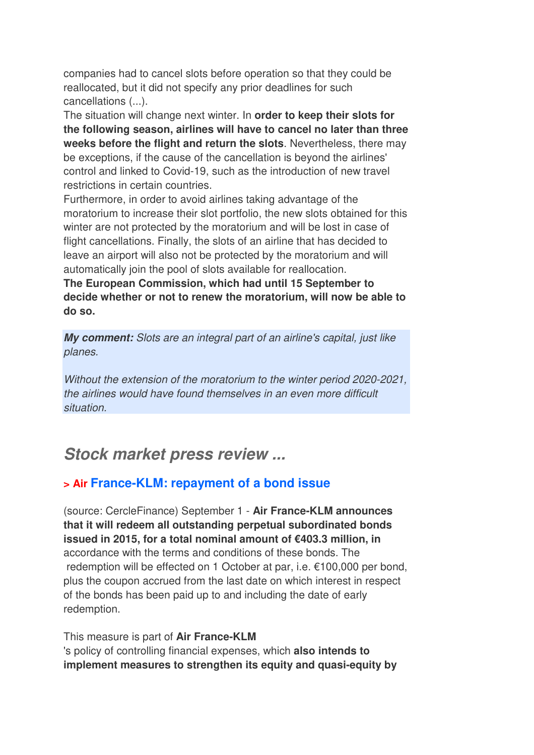companies had to cancel slots before operation so that they could be reallocated, but it did not specify any prior deadlines for such cancellations (...).

The situation will change next winter. In **order to keep their slots for the following season, airlines will have to cancel no later than three weeks before the flight and return the slots**. Nevertheless, there may be exceptions, if the cause of the cancellation is beyond the airlines' control and linked to Covid-19, such as the introduction of new travel restrictions in certain countries.

Furthermore, in order to avoid airlines taking advantage of the moratorium to increase their slot portfolio, the new slots obtained for this winter are not protected by the moratorium and will be lost in case of flight cancellations. Finally, the slots of an airline that has decided to leave an airport will also not be protected by the moratorium and will automatically join the pool of slots available for reallocation.

**The European Commission, which had until 15 September to decide whether or not to renew the moratorium, will now be able to do so.**

*My comment: Slots are an integral part of an airline's capital, just like planes.* 

*Without the extension of the moratorium to the winter period 2020-2021, the airlines would have found themselves in an even more difficult situation.*

## *Stock market press review ...*

## **> Air France-KLM: repayment of a bond issue**

(source: CercleFinance) September 1 - **Air France-KLM announces that it will redeem all outstanding perpetual subordinated bonds issued in 2015, for a total nominal amount of €403.3 million, in** accordance with the terms and conditions of these bonds. The redemption will be effected on 1 October at par, i.e. €100,000 per bond, plus the coupon accrued from the last date on which interest in respect of the bonds has been paid up to and including the date of early redemption.

#### This measure is part of **Air France-KLM**

's policy of controlling financial expenses, which **also intends to implement measures to strengthen its equity and quasi-equity by**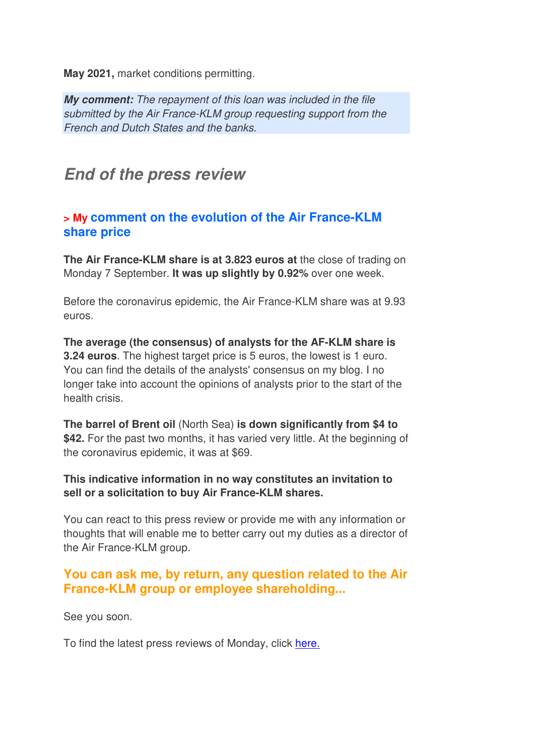**May 2021,** market conditions permitting.

*My comment: The repayment of this loan was included in the file submitted by the Air France-KLM group requesting support from the French and Dutch States and the banks.*

## *End of the press review*

#### **> My comment on the evolution of the Air France-KLM share price**

**The Air France-KLM share is at 3.823 euros at** the close of trading on Monday 7 September. **It was up slightly by 0.92%** over one week.

Before the coronavirus epidemic, the Air France-KLM share was at 9.93 euros.

**The average (the consensus) of analysts for the AF-KLM share is 3.24 euros**. The highest target price is 5 euros, the lowest is 1 euro. You can find the details of the analysts' consensus on my blog. I no longer take into account the opinions of analysts prior to the start of the health crisis.

**The barrel of Brent oil** (North Sea) **is down significantly from \$4 to \$42.** For the past two months, it has varied very little. At the beginning of the coronavirus epidemic, it was at \$69.

#### **This indicative information in no way constitutes an invitation to sell or a solicitation to buy Air France-KLM shares.**

You can react to this press review or provide me with any information or thoughts that will enable me to better carry out my duties as a director of the Air France-KLM group.

### **You can ask me, by return, any question related to the Air France-KLM group or employee shareholding...**

See you soon.

To find the latest press reviews of Monday, click here.